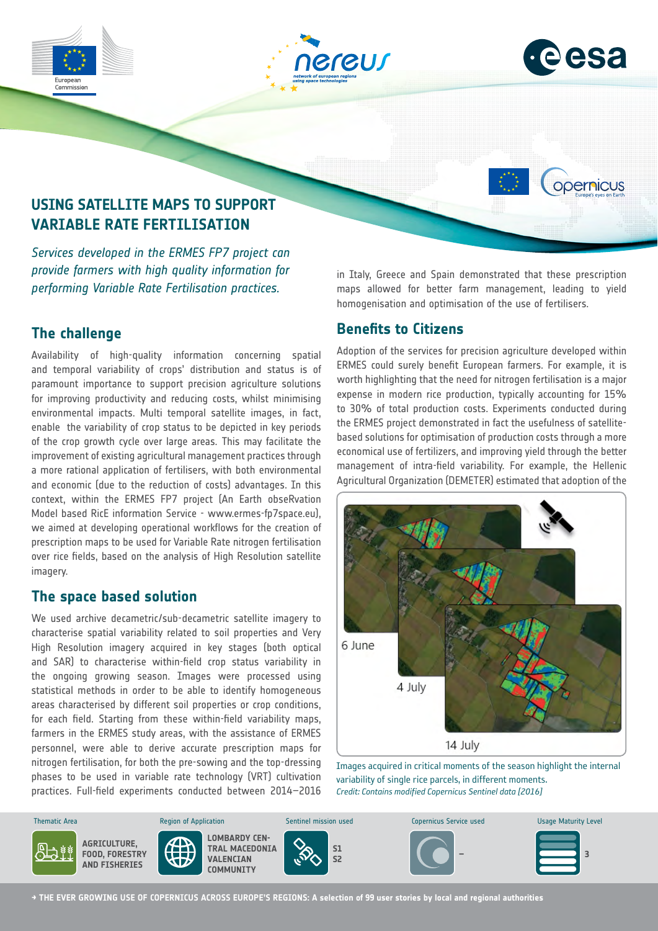





opernicus

# **USING SATELLITE MAPS TO SUPPORT VARIABLE RATE FERTILISATION**

*Services developed in the ERMES FP7 project can provide farmers with high quality information for performing Variable Rate Fertilisation practices.*

## **The challenge**

Availability of high-quality information concerning spatial and temporal variability of crops' distribution and status is of paramount importance to support precision agriculture solutions for improving productivity and reducing costs, whilst minimising environmental impacts. Multi temporal satellite images, in fact, enable the variability of crop status to be depicted in key periods of the crop growth cycle over large areas. This may facilitate the improvement of existing agricultural management practices through a more rational application of fertilisers, with both environmental and economic (due to the reduction of costs) advantages. In this context, within the ERMES FP7 project (An Earth obseRvation Model based RicE information Service - www.ermes-fp7space.eu), we aimed at developing operational workflows for the creation of prescription maps to be used for Variable Rate nitrogen fertilisation over rice fields, based on the analysis of High Resolution satellite imagery.

### **The space based solution**

We used archive decametric/sub-decametric satellite imagery to characterise spatial variability related to soil properties and Very High Resolution imagery acquired in key stages (both optical and SAR) to characterise within-field crop status variability in the ongoing growing season. Images were processed using statistical methods in order to be able to identify homogeneous areas characterised by different soil properties or crop conditions, for each field. Starting from these within-field variability maps, farmers in the ERMES study areas, with the assistance of ERMES personnel, were able to derive accurate prescription maps for nitrogen fertilisation, for both the pre-sowing and the top-dressing phases to be used in variable rate technology (VRT) cultivation .<br>practices. Full-field experiments conducted between 2014–2016 in Italy, Greece and Spain demonstrated that these prescription maps allowed for better farm management, leading to yield homogenisation and optimisation of the use of fertilisers.

## **Benefits to Citizens**

Adoption of the services for precision agriculture developed within ERMES could surely benefit European farmers. For example, it is worth highlighting that the need for nitrogen fertilisation is a major expense in modern rice production, typically accounting for 15% to 30% of total production costs. Experiments conducted during the ERMES project demonstrated in fact the usefulness of satellitebased solutions for optimisation of production costs through a more economical use of fertilizers, and improving yield through the better management of intra-field variability. For example, the Hellenic Agricultural Organization (DEMETER) estimated that adoption of the



Images acquired in critical moments of the season highlight the internal variability of single rice parcels, in different moments. *Credit: Contains modified Copernicus Sentinel data [2016]*



**→ THE EVER GROWING USE OF COPERNICUS ACROSS EUROPE'S REGIONS: A selection of 99 user stories by local and regional authorities**